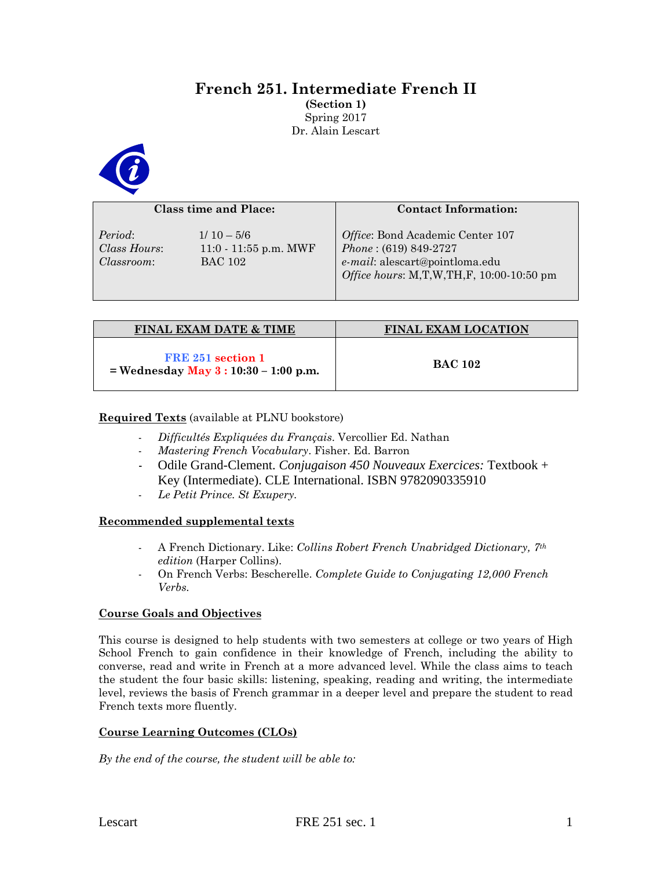# **French 251. Intermediate French II**

**(Section 1)** Spring 2017 Dr. Alain Lescart



| <b>Class time and Place:</b>                 |                                                           | <b>Contact Information:</b>                                                                                                               |  |
|----------------------------------------------|-----------------------------------------------------------|-------------------------------------------------------------------------------------------------------------------------------------------|--|
| Period:<br>Class Hours:<br><i>Classroom:</i> | $1/10 - 5/6$<br>$11:0 - 11:55$ p.m. MWF<br><b>BAC 102</b> | Office: Bond Academic Center 107<br>$Phone: (619) 849-2727$<br>e-mail: alescart@pointloma.edu<br>Office hours: M,T,W,TH,F, 10:00-10:50 pm |  |

| <b>FINAL EXAM DATE &amp; TIME</b>                            | <b>FINAL EXAM LOCATION</b> |  |
|--------------------------------------------------------------|----------------------------|--|
| FRE 251 section 1<br>$=$ Wednesday May 3 : 10:30 – 1:00 p.m. | <b>BAC 102</b>             |  |

# **Required Texts** (available at PLNU bookstore)

- *Difficultés Expliquées du Français*. Vercollier Ed. Nathan
- *Mastering French Vocabulary*. Fisher. Ed. Barron
- Odile Grand-Clement. *Conjugaison 450 Nouveaux Exercices:* Textbook + Key (Intermediate). CLE International. ISBN 9782090335910
- *Le Petit Prince. St Exupery.*

# **Recommended supplemental texts**

- A French Dictionary. Like: *Collins Robert French Unabridged Dictionary, 7th edition* (Harper Collins).
- On French Verbs: Bescherelle. *Complete Guide to Conjugating 12,000 French Verbs.*

# **Course Goals and Objectives**

This course is designed to help students with two semesters at college or two years of High School French to gain confidence in their knowledge of French, including the ability to converse, read and write in French at a more advanced level. While the class aims to teach the student the four basic skills: listening, speaking, reading and writing, the intermediate level, reviews the basis of French grammar in a deeper level and prepare the student to read French texts more fluently.

# **Course Learning Outcomes (CLOs)**

*By the end of the course, the student will be able to:*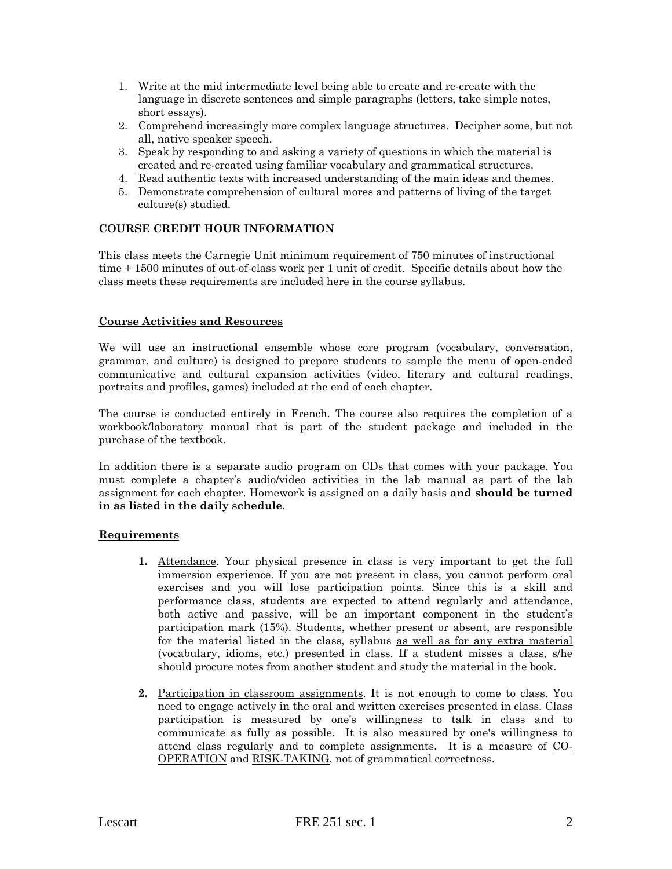- 1. Write at the mid intermediate level being able to create and re-create with the language in discrete sentences and simple paragraphs (letters, take simple notes, short essays).
- 2. Comprehend increasingly more complex language structures. Decipher some, but not all, native speaker speech.
- 3. Speak by responding to and asking a variety of questions in which the material is created and re-created using familiar vocabulary and grammatical structures.
- 4. Read authentic texts with increased understanding of the main ideas and themes.
- 5. Demonstrate comprehension of cultural mores and patterns of living of the target culture(s) studied.

# **COURSE CREDIT HOUR INFORMATION**

This class meets the Carnegie Unit minimum requirement of 750 minutes of instructional time + 1500 minutes of out-of-class work per 1 unit of credit. Specific details about how the class meets these requirements are included here in the course syllabus.

### **Course Activities and Resources**

We will use an instructional ensemble whose core program (vocabulary, conversation, grammar, and culture) is designed to prepare students to sample the menu of open-ended communicative and cultural expansion activities (video, literary and cultural readings, portraits and profiles, games) included at the end of each chapter.

The course is conducted entirely in French. The course also requires the completion of a workbook/laboratory manual that is part of the student package and included in the purchase of the textbook.

In addition there is a separate audio program on CDs that comes with your package. You must complete a chapter's audio/video activities in the lab manual as part of the lab assignment for each chapter. Homework is assigned on a daily basis **and should be turned in as listed in the daily schedule**.

#### **Requirements**

- **1.** Attendance. Your physical presence in class is very important to get the full immersion experience. If you are not present in class, you cannot perform oral exercises and you will lose participation points. Since this is a skill and performance class, students are expected to attend regularly and attendance, both active and passive, will be an important component in the student's participation mark (15%). Students, whether present or absent, are responsible for the material listed in the class, syllabus as well as for any extra material (vocabulary, idioms, etc.) presented in class. If a student misses a class, s/he should procure notes from another student and study the material in the book.
- **2.** Participation in classroom assignments. It is not enough to come to class. You need to engage actively in the oral and written exercises presented in class. Class participation is measured by one's willingness to talk in class and to communicate as fully as possible. It is also measured by one's willingness to attend class regularly and to complete assignments. It is a measure of CO-OPERATION and RISK-TAKING, not of grammatical correctness.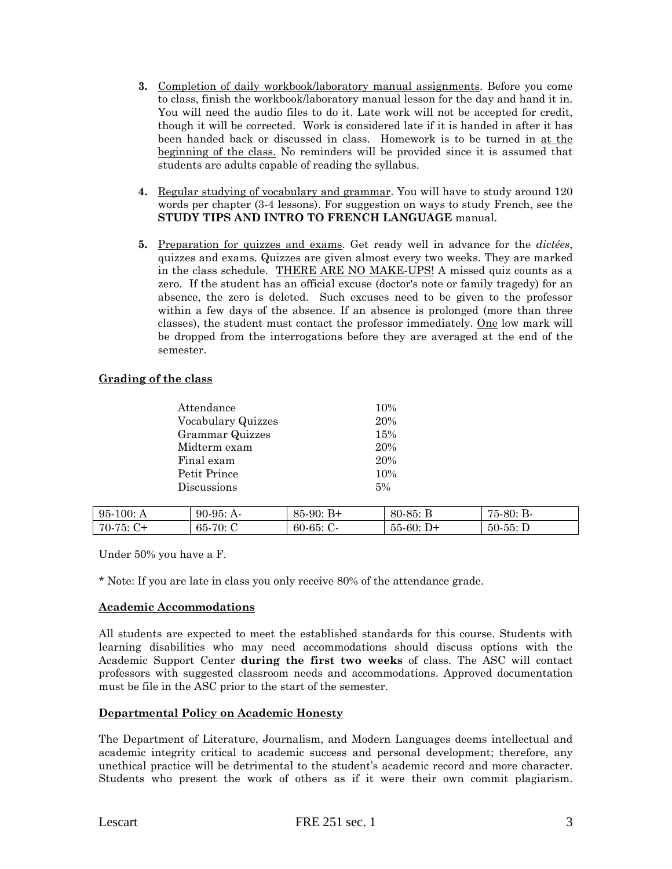- **3.** Completion of daily workbook/laboratory manual assignments. Before you come to class, finish the workbook/laboratory manual lesson for the day and hand it in. You will need the audio files to do it. Late work will not be accepted for credit, though it will be corrected. Work is considered late if it is handed in after it has been handed back or discussed in class. Homework is to be turned in at the beginning of the class. No reminders will be provided since it is assumed that students are adults capable of reading the syllabus.
- **4.** Regular studying of vocabulary and grammar. You will have to study around 120 words per chapter (3-4 lessons). For suggestion on ways to study French, see the **STUDY TIPS AND INTRO TO FRENCH LANGUAGE** manual.
- **5.** Preparation for quizzes and exams. Get ready well in advance for the *dictées*, quizzes and exams. Quizzes are given almost every two weeks. They are marked in the class schedule. THERE ARE NO MAKE-UPS! A missed quiz counts as a zero. If the student has an official excuse (doctor's note or family tragedy) for an absence, the zero is deleted. Such excuses need to be given to the professor within a few days of the absence. If an absence is prolonged (more than three classes), the student must contact the professor immediately. One low mark will be dropped from the interrogations before they are averaged at the end of the semester.

# **Grading of the class**

| Attendance         | 10% |
|--------------------|-----|
| Vocabulary Quizzes | 20% |
| Grammar Quizzes    | 15% |
| Midterm exam       | 20% |
| Final exam         | 20% |
| Petit Prince       | 10% |
| Discussions        | 5%  |
|                    |     |

| $95-100:$ | $90-95:$ | $B+$      | $80 - 85:$ | <b>B</b> - |
|-----------|----------|-----------|------------|------------|
| Ά         | $A-$     | 85-90:    |            | 75-80:     |
| $70-75$ : | -65      | $60-65$ : | $55-60:$   | $50-55: D$ |
| `+        | $-70:$   | . v-      | $D+$       |            |

Under 50% you have a F.

\* Note: If you are late in class you only receive 80% of the attendance grade.

#### **Academic Accommodations**

All students are expected to meet the established standards for this course. Students with learning disabilities who may need accommodations should discuss options with the Academic Support Center **during the first two weeks** of class. The ASC will contact professors with suggested classroom needs and accommodations. Approved documentation must be file in the ASC prior to the start of the semester.

#### **Departmental Policy on Academic Honesty**

The Department of Literature, Journalism, and Modern Languages deems intellectual and academic integrity critical to academic success and personal development; therefore, any unethical practice will be detrimental to the student's academic record and more character. Students who present the work of others as if it were their own commit plagiarism.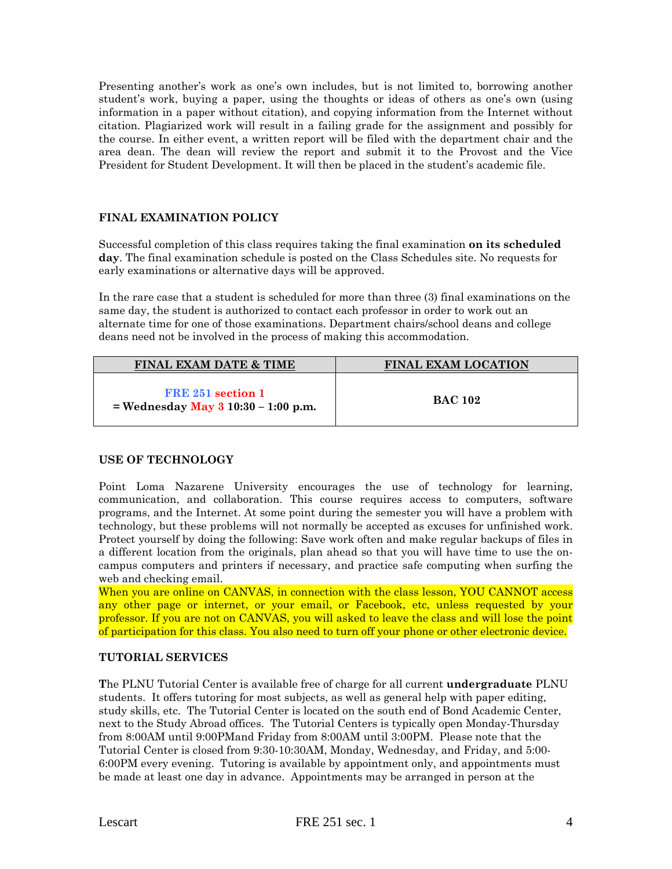Presenting another's work as one's own includes, but is not limited to, borrowing another student's work, buying a paper, using the thoughts or ideas of others as one's own (using information in a paper without citation), and copying information from the Internet without citation. Plagiarized work will result in a failing grade for the assignment and possibly for the course. In either event, a written report will be filed with the department chair and the area dean. The dean will review the report and submit it to the Provost and the Vice President for Student Development. It will then be placed in the student's academic file.

# **FINAL EXAMINATION POLICY**

Successful completion of this class requires taking the final examination **on its scheduled day**. The final examination schedule is posted on the Class Schedules site. No requests for early examinations or alternative days will be approved.

In the rare case that a student is scheduled for more than three (3) final examinations on the same day, the student is authorized to contact each professor in order to work out an alternate time for one of those examinations. Department chairs/school deans and college deans need not be involved in the process of making this accommodation.

| <b>FINAL EXAM DATE &amp; TIME</b>                              | <b>FINAL EXAM LOCATION</b> |  |
|----------------------------------------------------------------|----------------------------|--|
| FRE 251 section 1<br>= Wednesday May $3 \ 10:30 - 1:00 \ p.m.$ | <b>BAC 102</b>             |  |

# **USE OF TECHNOLOGY**

Point Loma Nazarene University encourages the use of technology for learning, communication, and collaboration. This course requires access to computers, software programs, and the Internet. At some point during the semester you will have a problem with technology, but these problems will not normally be accepted as excuses for unfinished work. Protect yourself by doing the following: Save work often and make regular backups of files in a different location from the originals, plan ahead so that you will have time to use the oncampus computers and printers if necessary, and practice safe computing when surfing the web and checking email.

When you are online on CANVAS, in connection with the class lesson, YOU CANNOT access any other page or internet, or your email, or Facebook, etc, unless requested by your professor. If you are not on CANVAS, you will asked to leave the class and will lose the point of participation for this class. You also need to turn off your phone or other electronic device.

# **TUTORIAL SERVICES**

**T**he PLNU Tutorial Center is available free of charge for all current **undergraduate** PLNU students. It offers tutoring for most subjects, as well as general help with paper editing, study skills, etc. The Tutorial Center is located on the south end of Bond Academic Center, next to the Study Abroad offices. The Tutorial Centers is typically open Monday-Thursday from 8:00AM until 9:00PMand Friday from 8:00AM until 3:00PM. Please note that the Tutorial Center is closed from 9:30-10:30AM, Monday, Wednesday, and Friday, and 5:00- 6:00PM every evening. Tutoring is available by appointment only, and appointments must be made at least one day in advance. Appointments may be arranged in person at the